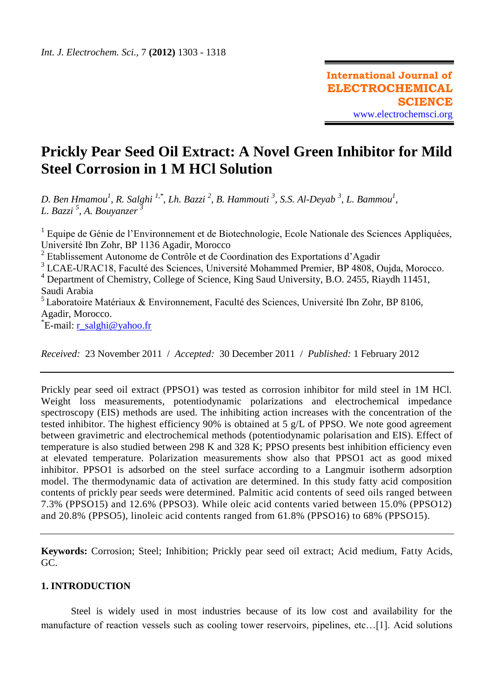# **Prickly Pear Seed Oil Extract: A Novel Green Inhibitor for Mild Steel Corrosion in 1 M HCl Solution**

*D. Ben Hmamou<sup>1</sup> , R. Salghi 1,\* , Lh. Bazzi <sup>2</sup> , B. Hammouti <sup>3</sup> , S.S. Al-Deyab <sup>3</sup> , L. Bammou<sup>1</sup> , L. Bazzi <sup>5</sup> , A. Bouyanzer <sup>3</sup>*

<sup>1</sup> Equipe de Génie de l'Environnement et de Biotechnologie, Ecole Nationale des Sciences Appliquées, Université Ibn Zohr, BP 1136 Agadir, Morocco

<sup>2</sup> Etablissement Autonome de Contrôle et de Coordination des Exportations d'Agadir

<sup>3</sup> LCAE-URAC18, Faculté des Sciences, Université Mohammed Premier, BP 4808, Oujda, Morocco.

<sup>4</sup> Department of Chemistry, College of Science, King Saud University, B.O. 2455, Riaydh 11451, Saudi Arabia

 $<sup>5</sup>$  Laboratoire Matériaux & Environnement, Faculté des Sciences, Université Ibn Zohr, BP 8106,</sup> Agadir, Morocco.

\*E-mail: <u>r\_salghi@yahoo.fr</u>

*Received:* 23 November 2011 / *Accepted:* 30 December 2011 / *Published:* 1 February 2012

Prickly pear seed oil extract (PPSO1) was tested as corrosion inhibitor for mild steel in 1M HCl. Weight loss measurements, potentiodynamic polarizations and electrochemical impedance spectroscopy (EIS) methods are used. The inhibiting action increases with the concentration of the tested inhibitor. The highest efficiency 90% is obtained at 5 g/L of PPSO. We note good agreement between gravimetric and electrochemical methods (potentiodynamic polarisation and EIS). Effect of temperature is also studied between 298 K and 328 K; PPSO presents best inhibition efficiency even at elevated temperature. Polarization measurements show also that PPSO1 act as good mixed inhibitor. PPSO1 is adsorbed on the steel surface according to a Langmuir isotherm adsorption model. The thermodynamic data of activation are determined. In this study fatty acid composition contents of prickly pear seeds were determined. Palmitic acid contents of seed oils ranged between 7.3% (PPSO15) and 12.6% (PPSO3). While oleic acid contents varied between 15.0% (PPSO12) and 20.8% (PPSO5), linoleic acid contents ranged from 61.8% (PPSO16) to 68% (PPSO15).

**Keywords:** Corrosion; Steel; Inhibition; Prickly pear seed oil extract; Acid medium, Fatty Acids, GC.

# **1. INTRODUCTION**

Steel is widely used in most industries because of its low cost and availability for the manufacture of reaction vessels such as cooling tower reservoirs, pipelines, etc…[1]. Acid solutions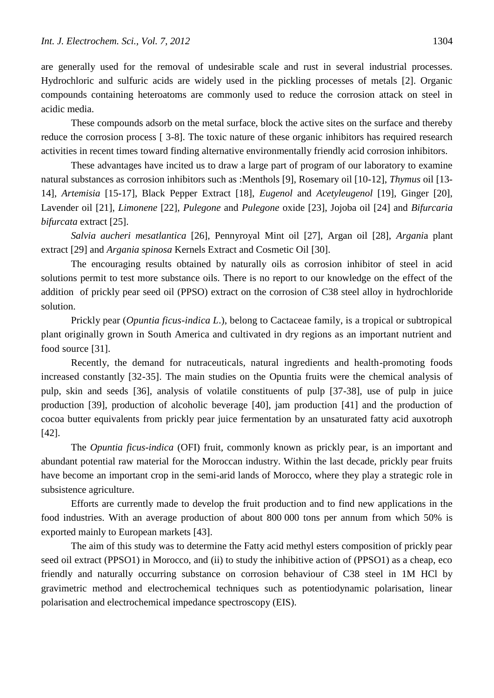are generally used for the removal of undesirable scale and rust in several industrial processes. Hydrochloric and sulfuric acids are widely used in the pickling processes of metals [2]. Organic compounds containing heteroatoms are commonly used to reduce the corrosion attack on steel in acidic media.

These compounds adsorb on the metal surface, block the active sites on the surface and thereby reduce the corrosion process [ 3-8]. The toxic nature of these organic inhibitors has required research activities in recent times toward finding alternative environmentally friendly acid corrosion inhibitors.

These advantages have incited us to draw a large part of program of our laboratory to examine natural substances as corrosion inhibitors such as :Menthols [9], Rosemary oil [10-12], *Thymus* oil [13- 14], *Artemisia* [15-17], Black Pepper Extract [18], *Eugenol* and *Acetyleugenol* [19], Ginger [20], Lavender oil [21], *Limonene* [22], *Pulegone* and *Pulegone* oxide [23], Jojoba oil [24] and *[Bifurcaria](http://www.scopus.com/record/display.url?eid=2-s2.0-70349581439&origin=resultslist&sort=cp-f&src=s&nlo=&nlr=&nls=&sid=81W7CxKeP_iEENq75g8624O%3a210&sot=q&sdt=b&sl=28&s=TITLE-ABS-KEY-AUTH%28hammouti%29&relpos=103&relpos=103&searchTerm=TITLE-ABS-KEY-AUTH%28hammouti%29)  [bifurcata](http://www.scopus.com/record/display.url?eid=2-s2.0-70349581439&origin=resultslist&sort=cp-f&src=s&nlo=&nlr=&nls=&sid=81W7CxKeP_iEENq75g8624O%3a210&sot=q&sdt=b&sl=28&s=TITLE-ABS-KEY-AUTH%28hammouti%29&relpos=103&relpos=103&searchTerm=TITLE-ABS-KEY-AUTH%28hammouti%29)* extract [25].

*Salvia aucheri mesatlantica* [26], Pennyroyal Mint oil [27], Argan oil [28], *Argani*a plant extract [29] and *Argania spinosa* Kernels Extract and Cosmetic Oil [30].

The encouraging results obtained by naturally oils as corrosion inhibitor of steel in acid solutions permit to test more substance oils. There is no report to our knowledge on the effect of the addition of prickly pear seed oil (PPSO) extract on the corrosion of C38 steel alloy in hydrochloride solution.

Prickly pear (*Opuntia ficus-indica L*.), belong to Cactaceae family, is a tropical or subtropical plant originally grown in South America and cultivated in dry regions as an important nutrient and food source [31].

Recently, the demand for nutraceuticals, natural ingredients and health-promoting foods increased constantly [32-35]. The main studies on the Opuntia fruits were the chemical analysis of pulp, skin and seeds [36], analysis of volatile constituents of pulp [37-38], use of pulp in juice production [39], production of alcoholic beverage [40], jam production [41] and the production of cocoa butter equivalents from prickly pear juice fermentation by an unsaturated fatty acid auxotroph [42].

The *Opuntia ficus-indica* (OFI) fruit, commonly known as prickly pear, is an important and abundant potential raw material for the Moroccan industry. Within the last decade, prickly pear fruits have become an important crop in the semi-arid lands of Morocco, where they play a strategic role in subsistence agriculture.

Efforts are currently made to develop the fruit production and to find new applications in the food industries. With an average production of about 800 000 tons per annum from which 50% is exported mainly to European markets [43].

The aim of this study was to determine the Fatty acid methyl esters composition of prickly pear seed oil extract (PPSO1) in Morocco, and (ii) to study the inhibitive action of (PPSO1) as a cheap, eco friendly and naturally occurring substance on corrosion behaviour of C38 steel in 1M HCl by gravimetric method and electrochemical techniques such as potentiodynamic polarisation, linear polarisation and electrochemical impedance spectroscopy (EIS).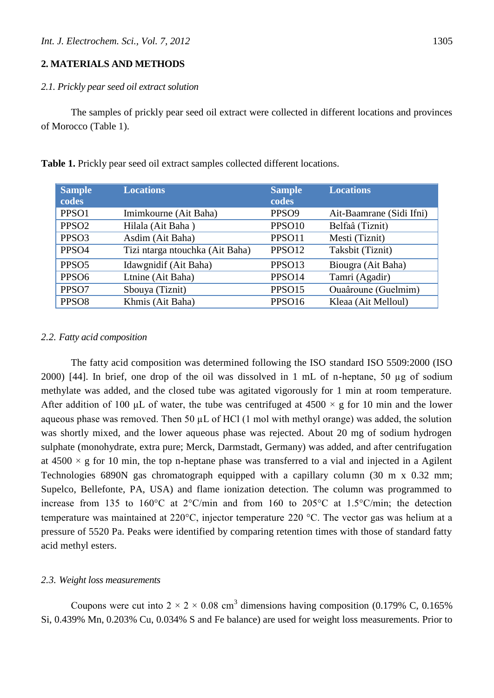# **2. MATERIALS AND METHODS**

# *2.1. Prickly pear seed oil extract solution*

The samples of prickly pear seed oil extract were collected in different locations and provinces of Morocco (Table 1).

| <b>Sample</b><br>codes | <b>Locations</b>                | <b>Sample</b><br>codes | <b>Locations</b>         |
|------------------------|---------------------------------|------------------------|--------------------------|
| PPSO1                  | Imimkourne (Ait Baha)           | PPSO <sub>9</sub>      | Ait-Baamrane (Sidi Ifni) |
| PPSO <sub>2</sub>      | Hilala (Ait Baha)               | PPSO <sub>10</sub>     | Belfaâ (Tiznit)          |
| PPSO <sub>3</sub>      | Asdim (Ait Baha)                | PPSO11                 | Mesti (Tiznit)           |
| PPSO <sub>4</sub>      | Tizi ntarga ntouchka (Ait Baha) | PPSO12                 | Taksbit (Tiznit)         |
| PPSO <sub>5</sub>      | Idawgnidif (Ait Baha)           | PPSO13                 | Biougra (Ait Baha)       |
| PPS <sub>O6</sub>      | Ltnine (Ait Baha)               | PPSO14                 | Tamri (Agadir)           |
| PPSO7                  | Sbouya (Tiznit)                 | PPSO15                 | Ouaâroune (Guelmim)      |
| PPS <sub>O8</sub>      | Khmis (Ait Baha)                | PPSO16                 | Kleaa (Ait Melloul)      |

**Table 1.** Prickly pear seed oil extract samples collected different locations.

## *2.2. Fatty acid composition*

The fatty acid composition was determined following the ISO standard ISO 5509:2000 (ISO 2000) [44]. In brief, one drop of the oil was dissolved in 1 mL of n-heptane, 50 µg of sodium methylate was added, and the closed tube was agitated vigorously for 1 min at room temperature. After addition of 100  $\mu$ L of water, the tube was centrifuged at 4500  $\times$  g for 10 min and the lower aqueous phase was removed. Then 50  $\mu$ L of HCl (1 mol with methyl orange) was added, the solution was shortly mixed, and the lower aqueous phase was rejected. About 20 mg of sodium hydrogen sulphate (monohydrate, extra pure; Merck, Darmstadt, Germany) was added, and after centrifugation at  $4500 \times g$  for 10 min, the top n-heptane phase was transferred to a vial and injected in a Agilent Technologies 6890N gas chromatograph equipped with a capillary column (30 m x 0.32 mm; Supelco, Bellefonte, PA, USA) and flame ionization detection. The column was programmed to increase from 135 to 160°C at 2°C/min and from 160 to 205°C at 1.5°C/min; the detection temperature was maintained at 220°C, injector temperature 220 °C. The vector gas was helium at a pressure of 5520 Pa. Peaks were identified by comparing retention times with those of standard fatty acid methyl esters.

#### *2.3. Weight loss measurements*

Coupons were cut into  $2 \times 2 \times 0.08$  cm<sup>3</sup> dimensions having composition (0.179% C, 0.165%) Si, 0.439% Mn, 0.203% Cu, 0.034% S and Fe balance) are used for weight loss measurements. Prior to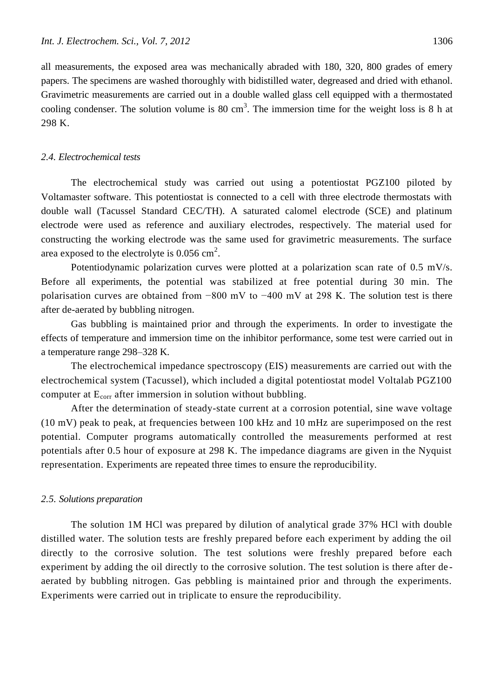all measurements, the exposed area was mechanically abraded with 180, 320, 800 grades of emery papers. The specimens are washed thoroughly with bidistilled water, degreased and dried with ethanol. Gravimetric measurements are carried out in a double walled glass cell equipped with a thermostated cooling condenser. The solution volume is 80 cm<sup>3</sup>. The immersion time for the weight loss is 8 h at 298 K.

#### *2.4. Electrochemical tests*

The electrochemical study was carried out using a potentiostat PGZ100 piloted by Voltamaster software. This potentiostat is connected to a cell with three electrode thermostats with double wall (Tacussel Standard CEC/TH). A saturated calomel electrode (SCE) and platinum electrode were used as reference and auxiliary electrodes, respectively. The material used for constructing the working electrode was the same used for gravimetric measurements. The surface area exposed to the electrolyte is  $0.056 \text{ cm}^2$ .

Potentiodynamic polarization curves were plotted at a polarization scan rate of 0.5 mV/s. Before all experiments, the potential was stabilized at free potential during 30 min. The polarisation curves are obtained from −800 mV to −400 mV at 298 K. The solution test is there after de-aerated by bubbling nitrogen.

Gas bubbling is maintained prior and through the experiments. In order to investigate the effects of temperature and immersion time on the inhibitor performance, some test were carried out in a temperature range 298–328 K.

The electrochemical impedance spectroscopy (EIS) measurements are carried out with the electrochemical system (Tacussel), which included a digital potentiostat model Voltalab PGZ100 computer at  $E_{corr}$  after immersion in solution without bubbling.

After the determination of steady-state current at a corrosion potential, sine wave voltage (10 mV) peak to peak, at frequencies between 100 kHz and 10 mHz are superimposed on the rest potential. Computer programs automatically controlled the measurements performed at rest potentials after 0.5 hour of exposure at 298 K. The impedance diagrams are given in the Nyquist representation. Experiments are repeated three times to ensure the reproducibility.

## *2.5. Solutions preparation*

The solution 1M HCl was prepared by dilution of analytical grade 37% HCl with double distilled water. The solution tests are freshly prepared before each experiment by adding the oil directly to the corrosive solution. The test solutions were freshly prepared before each experiment by adding the oil directly to the corrosive solution. The test solution is there after de aerated by bubbling nitrogen. Gas pebbling is maintained prior and through the experiments. Experiments were carried out in triplicate to ensure the reproducibility.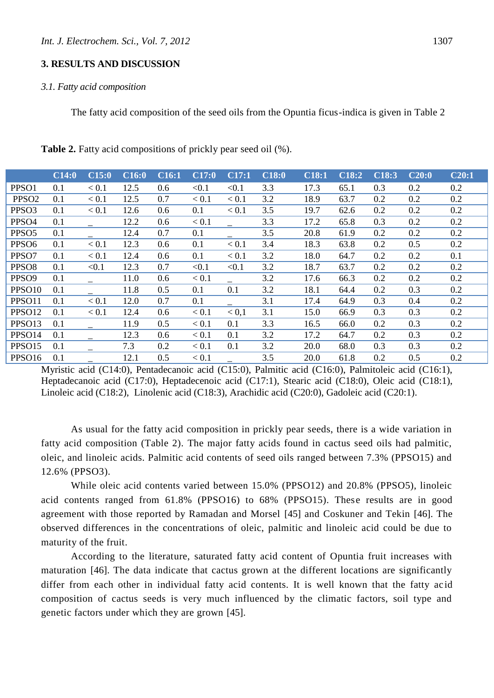#### *3.1. Fatty acid composition*

The fatty acid composition of the seed oils from the Opuntia ficus-indica is given in Table 2

|                    | C14:0 | C15:0 | $CI\overline{6:0}$ | $CI\overline{6:1}$ | C17:0   | C17:1   | C18:0 | C18:1 | C18:2 | C18:3 | C20:0 | C20:1 |
|--------------------|-------|-------|--------------------|--------------------|---------|---------|-------|-------|-------|-------|-------|-------|
| PPSO1              | 0.1   | < 0.1 | 12.5               | 0.6                | < 0.1   | < 0.1   | 3.3   | 17.3  | 65.1  | 0.3   | 0.2   | 0.2   |
| PPSO <sub>2</sub>  | 0.1   | < 0.1 | 12.5               | 0.7                | < 0.1   | $< 0.1$ | 3.2   | 18.9  | 63.7  | 0.2   | 0.2   | 0.2   |
| PPSO <sub>3</sub>  | 0.1   | < 0.1 | 12.6               | 0.6                | 0.1     | < 0.1   | 3.5   | 19.7  | 62.6  | 0.2   | 0.2   | 0.2   |
| PPSO4              | 0.1   |       | 12.2               | 0.6                | < 0.1   |         | 3.3   | 17.2  | 65.8  | 0.3   | 0.2   | 0.2   |
| PPSO <sub>5</sub>  | 0.1   |       | 12.4               | 0.7                | 0.1     |         | 3.5   | 20.8  | 61.9  | 0.2   | 0.2   | 0.2   |
| PPSO <sub>6</sub>  | 0.1   | < 0.1 | 12.3               | 0.6                | 0.1     | < 0.1   | 3.4   | 18.3  | 63.8  | 0.2   | 0.5   | 0.2   |
| PPSO7              | 0.1   | < 0.1 | 12.4               | 0.6                | 0.1     | < 0.1   | 3.2   | 18.0  | 64.7  | 0.2   | 0.2   | 0.1   |
| PPSO <sub>8</sub>  | 0.1   | < 0.1 | 12.3               | 0.7                | < 0.1   | < 0.1   | 3.2   | 18.7  | 63.7  | 0.2   | 0.2   | 0.2   |
| PPSO <sub>9</sub>  | 0.1   |       | 11.0               | 0.6                | < 0.1   |         | 3.2   | 17.6  | 66.3  | 0.2   | 0.2   | 0.2   |
| PPSO <sub>10</sub> | 0.1   |       | 11.8               | 0.5                | 0.1     | 0.1     | 3.2   | 18.1  | 64.4  | 0.2   | 0.3   | 0.2   |
| PPSO11             | 0.1   | < 0.1 | 12.0               | 0.7                | 0.1     |         | 3.1   | 17.4  | 64.9  | 0.3   | 0.4   | 0.2   |
| PPSO12             | 0.1   | < 0.1 | 12.4               | 0.6                | $< 0.1$ | < 0.1   | 3.1   | 15.0  | 66.9  | 0.3   | 0.3   | 0.2   |
| PPSO13             | 0.1   |       | 11.9               | 0.5                | < 0.1   | 0.1     | 3.3   | 16.5  | 66.0  | 0.2   | 0.3   | 0.2   |
| PPSO14             | 0.1   |       | 12.3               | 0.6                | < 0.1   | 0.1     | 3.2   | 17.2  | 64.7  | 0.2   | 0.3   | 0.2   |
| PPSO15             | 0.1   |       | 7.3                | 0.2                | < 0.1   | 0.1     | 3.2   | 20.0  | 68.0  | 0.3   | 0.3   | 0.2   |
| PPSO16             | 0.1   |       | 12.1               | 0.5                | < 0.1   |         | 3.5   | 20.0  | 61.8  | 0.2   | 0.5   | 0.2   |

**Table 2.** Fatty acid compositions of prickly pear seed oil (%).

Myristic acid (C14:0), Pentadecanoic acid (C15:0), Palmitic acid (C16:0), Palmitoleic acid (C16:1), Heptadecanoic acid (C17:0), Heptadecenoic acid (C17:1), Stearic acid (C18:0), Oleic acid (C18:1), Linoleic acid (C18:2), Linolenic acid (C18:3), Arachidic acid (C20:0), Gadoleic acid (C20:1).

As usual for the fatty acid composition in prickly pear seeds, there is a wide variation in fatty acid composition (Table 2). The major fatty acids found in cactus seed oils had palmitic, oleic, and linoleic acids. Palmitic acid contents of seed oils ranged between 7.3% (PPSO15) and 12.6% (PPSO3).

While oleic acid contents varied between 15.0% (PPSO12) and 20.8% (PPSO5), linoleic acid contents ranged from 61.8% (PPSO16) to 68% (PPSO15). These results are in good agreement with those reported by Ramadan and Morsel [45] and Coskuner and Tekin [46]. The observed differences in the concentrations of oleic, palmitic and linoleic acid could be due to maturity of the fruit.

According to the literature, saturated fatty acid content of Opuntia fruit increases with maturation [46]. The data indicate that cactus grown at the different locations are significantly differ from each other in individual fatty acid contents. It is well known that the fatty acid composition of cactus seeds is very much influenced by the climatic factors, soil type and genetic factors under which they are grown [45].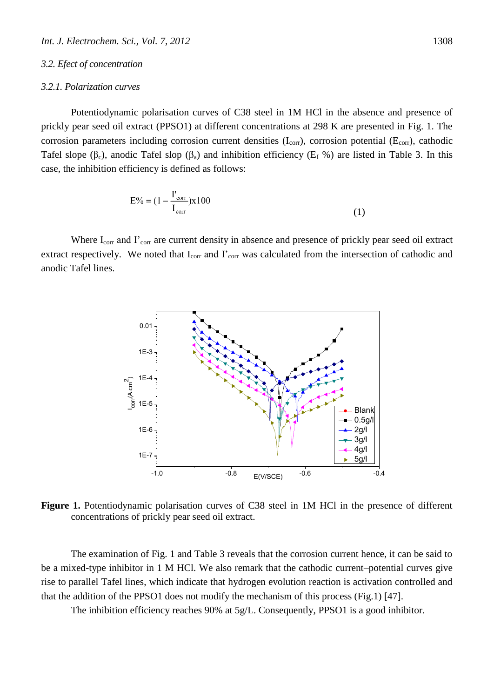#### *3.2. Efect of concentration*

#### *3.2.1. Polarization curves*

Potentiodynamic polarisation curves of C38 steel in 1M HCl in the absence and presence of prickly pear seed oil extract (PPSO1) at different concentrations at 298 K are presented in Fig. 1. The corrosion parameters including corrosion current densities  $(I_{\text{corr}})$ , corrosion potential ( $E_{\text{corr}}$ ), cathodic Tafel slope ( $\beta_c$ ), anodic Tafel slop ( $\beta_a$ ) and inhibition efficiency ( $E_I$ %) are listed in Table 3. In this case, the inhibition efficiency is defined as follows:

$$
E\% = (1 - \frac{I'_{corr}}{I_{corr}}) \times 100
$$
 (1)

Where I<sub>corr</sub> and I'<sub>corr</sub> are current density in absence and presence of prickly pear seed oil extract extract respectively. We noted that I<sub>corr</sub> and I'<sub>corr</sub> was calculated from the intersection of cathodic and anodic Tafel lines.



**Figure 1.** Potentiodynamic polarisation curves of C38 steel in 1M HCl in the presence of different concentrations of prickly pear seed oil extract.

The examination of Fig. 1 and Table 3 reveals that the corrosion current hence, it can be said to be a mixed-type inhibitor in 1 M HCl. We also remark that the cathodic current–potential curves give rise to parallel Tafel lines, which indicate that hydrogen evolution reaction is activation controlled and that the addition of the PPSO1 does not modify the mechanism of this process (Fig.1) [47].

The inhibition efficiency reaches 90% at 5g/L. Consequently, PPSO1 is a good inhibitor.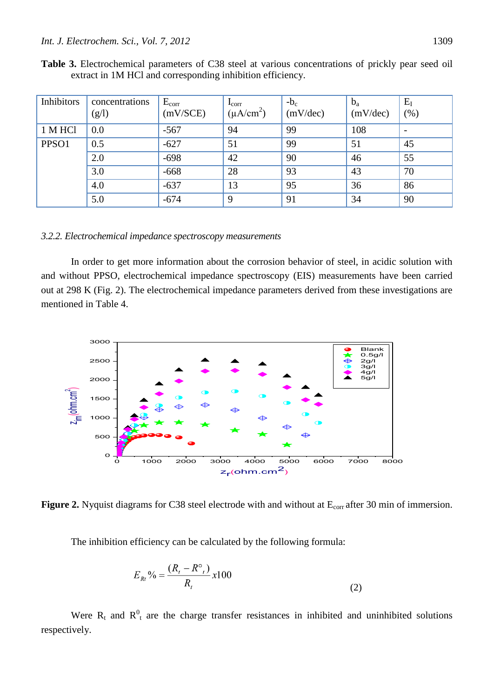| Inhibitors | concentrations<br>(g/l) | $E_{corr}$<br>(mV/SCE) | $\mathbf{I}_{\text{corr}}$<br>$(\mu A/cm^2)$ | $-b_c$<br>(mV/dec) | $b_a$<br>(mV/dec) | $E_I$<br>(% ) |
|------------|-------------------------|------------------------|----------------------------------------------|--------------------|-------------------|---------------|
| 1 M HCl    | 0.0                     | $-567$                 | 94                                           | 99                 | 108               |               |
| PPSO1      | 0.5                     | $-627$                 | 51                                           | 99                 | 51                | 45            |
|            | 2.0                     | $-698$                 | 42                                           | 90                 | 46                | 55            |
|            | 3.0                     | $-668$                 | 28                                           | 93                 | 43                | 70            |
|            | 4.0                     | $-637$                 | 13                                           | 95                 | 36                | 86            |
|            | 5.0                     | $-674$                 | 9                                            | 91                 | 34                | 90            |

**Table 3.** Electrochemical parameters of C38 steel at various concentrations of prickly pear seed oil extract in 1M HCl and corresponding inhibition efficiency.

## *3.2.2. Electrochemical impedance spectroscopy measurements*

In order to get more information about the corrosion behavior of steel, in acidic solution with and without PPSO, electrochemical impedance spectroscopy (EIS) measurements have been carried out at 298 K (Fig. 2). The electrochemical impedance parameters derived from these investigations are mentioned in Table 4.



**Figure 2.** Nyquist diagrams for C38 steel electrode with and without at  $E_{corr}$  after 30 min of immersion.

The inhibition efficiency can be calculated by the following formula:

$$
E_{Rt}\% = \frac{(R_t - R^{\circ})}{R_t} \times 100
$$
 (2)

Were  $R_t$  and  $R_t^0$  are the charge transfer resistances in inhibited and uninhibited solutions respectively.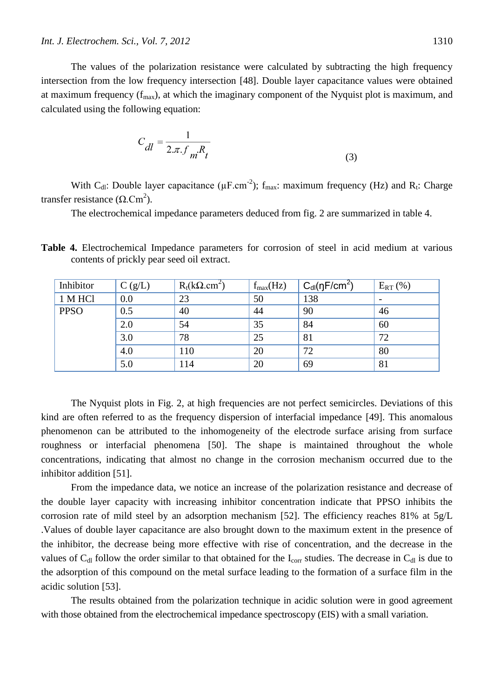The values of the polarization resistance were calculated by subtracting the high frequency intersection from the low frequency intersection [48]. Double layer capacitance values were obtained at maximum frequency  $(f_{max})$ , at which the imaginary component of the Nyquist plot is maximum, and calculated using the following equation:

$$
C_{dl} = \frac{1}{2\pi f_m R_t}
$$
 (3)

With C<sub>dl</sub>: Double layer capacitance ( $\mu$ F.cm<sup>-2</sup>);  $f_{max}$ : maximum frequency (Hz) and R<sub>t</sub>: Charge transfer resistance ( $Ω$ .Cm<sup>2</sup>).

The electrochemical impedance parameters deduced from fig. 2 are summarized in table 4.

**Table 4.** Electrochemical Impedance parameters for corrosion of steel in acid medium at various contents of prickly pear seed oil extract.

| Inhibitor   | C(g/L) | $R_t(k\Omega.cm^2)$ | $f_{max}(Hz)$ | $C_{\text{dl}}(\eta F/cm^2)$ | $E_{RT}$ (%) |
|-------------|--------|---------------------|---------------|------------------------------|--------------|
| 1 M HCl     | 0.0    | 23                  | 50            | 138                          |              |
| <b>PPSO</b> | 0.5    | 40                  | 44            | 90                           | 46           |
|             | 2.0    | 54                  | 35            | 84                           | 60           |
|             | 3.0    | 78                  | 25            | 81                           | 72           |
|             | 4.0    | 110                 | 20            | 72                           | 80           |
|             | 5.0    | 114                 | 20            | 69                           | 81           |

The Nyquist plots in Fig. 2, at high frequencies are not perfect semicircles. Deviations of this kind are often referred to as the frequency dispersion of interfacial impedance [49]. This anomalous phenomenon can be attributed to the inhomogeneity of the electrode surface arising from surface roughness or interfacial phenomena [50]. The shape is maintained throughout the whole concentrations, indicating that almost no change in the corrosion mechanism occurred due to the inhibitor addition [51].

From the impedance data, we notice an increase of the polarization resistance and decrease of the double layer capacity with increasing inhibitor concentration indicate that PPSO inhibits the corrosion rate of mild steel by an adsorption mechanism [52]. The efficiency reaches 81% at 5g/L .Values of double layer capacitance are also brought down to the maximum extent in the presence of the inhibitor, the decrease being more effective with rise of concentration, and the decrease in the values of  $C_{d}$  follow the order similar to that obtained for the I<sub>corr</sub> studies. The decrease in  $C_{d}$  is due to the adsorption of this compound on the metal surface leading to the formation of a surface film in the acidic solution [53].

The results obtained from the polarization technique in acidic solution were in good agreement with those obtained from the electrochemical impedance spectroscopy (EIS) with a small variation.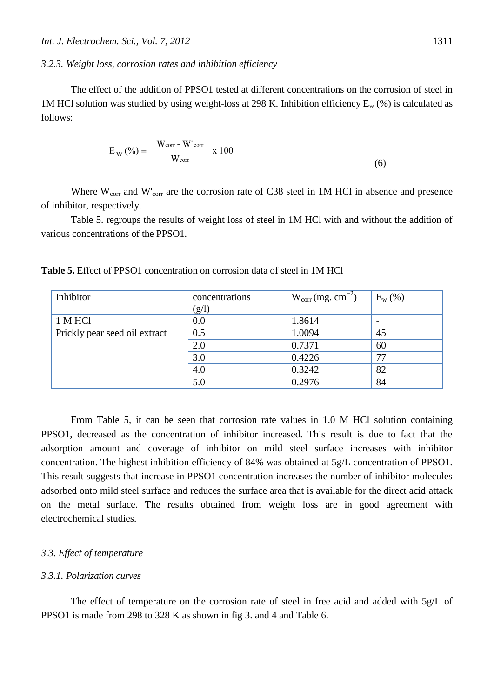# *3.2.3. Weight loss, corrosion rates and inhibition efficiency*

The effect of the addition of PPSO1 tested at different concentrations on the corrosion of steel in 1M HCl solution was studied by using weight-loss at 298 K. Inhibition efficiency  $E_w$  (%) is calculated as follows:

$$
E_W(\%) = \frac{W_{corr} - W'_{corr}}{W_{corr}} \times 100
$$
\n(6)

Where  $W_{\text{corr}}$  and  $W'_{\text{corr}}$  are the corrosion rate of C38 steel in 1M HCl in absence and presence of inhibitor, respectively.

Table 5. regroups the results of weight loss of steel in 1M HCl with and without the addition of various concentrations of the PPSO1.

| Inhibitor                     | concentrations | $W_{corr}(mg.cm^{-2})$ | $E_{w}$ (%) |
|-------------------------------|----------------|------------------------|-------------|
|                               | (g/l)          |                        |             |
| 1 M HCl                       | 0.0            | 1.8614                 |             |
| Prickly pear seed oil extract | 0.5            | 1.0094                 | 45          |
|                               | 2.0            | 0.7371                 | 60          |
|                               | 3.0            | 0.4226                 | 77          |
|                               | 4.0            | 0.3242                 | 82          |
|                               | 5.0            | 0.2976                 | 84          |

**Table 5.** Effect of PPSO1 concentration on corrosion data of steel in 1M HCl

From Table 5, it can be seen that corrosion rate values in 1.0 M HCl solution containing PPSO1, decreased as the concentration of inhibitor increased. This result is due to fact that the adsorption amount and coverage of inhibitor on mild steel surface increases with inhibitor concentration. The highest inhibition efficiency of 84% was obtained at 5g/L concentration of PPSO1. This result suggests that increase in PPSO1 concentration increases the number of inhibitor molecules adsorbed onto mild steel surface and reduces the surface area that is available for the direct acid attack on the metal surface. The results obtained from weight loss are in good agreement with electrochemical studies.

# *3.3. Effect of temperature*

# *3.3.1. Polarization curves*

The effect of temperature on the corrosion rate of steel in free acid and added with 5g/L of PPSO1 is made from 298 to 328 K as shown in fig 3. and 4 and Table 6.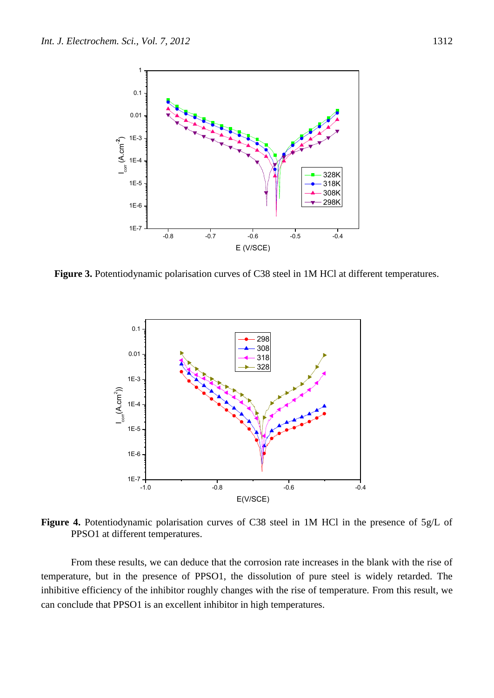

**Figure 3.** Potentiodynamic polarisation curves of C38 steel in 1M HCl at different temperatures.



**Figure 4.** Potentiodynamic polarisation curves of C38 steel in 1M HCl in the presence of 5g/L of PPSO1 at different temperatures.

From these results, we can deduce that the corrosion rate increases in the blank with the rise of temperature, but in the presence of PPSO1, the dissolution of pure steel is widely retarded. The inhibitive efficiency of the inhibitor roughly changes with the rise of temperature. From this result, we can conclude that PPSO1 is an excellent inhibitor in high temperatures.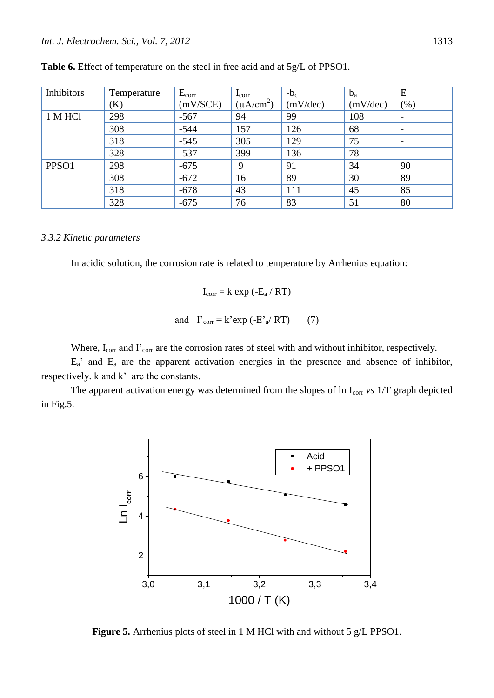| Inhibitors | Temperature | $E_{corr}$ | $\mathbf{I}_{\text{corr}}$ | $-b_c$   | $b_a$    | E                        |
|------------|-------------|------------|----------------------------|----------|----------|--------------------------|
|            | (K)         | (mV/SCE)   | $(\mu A/cm^2)$             | (mV/dec) | (mV/dec) | (% )                     |
| 1 M HCl    | 298         | $-567$     | 94                         | 99       | 108      |                          |
|            | 308         | $-544$     | 157                        | 126      | 68       | $\overline{\phantom{a}}$ |
|            | 318         | $-545$     | 305                        | 129      | 75       | $\overline{\phantom{0}}$ |
|            | 328         | $-537$     | 399                        | 136      | 78       |                          |
| PPSO1      | 298         | $-675$     | 9                          | 91       | 34       | 90                       |
|            | 308         | $-672$     | 16                         | 89       | 30       | 89                       |
|            | 318         | $-678$     | 43                         | 111      | 45       | 85                       |
|            | 328         | $-675$     | 76                         | 83       | 51       | 80                       |

**Table 6.** Effect of temperature on the steel in free acid and at 5g/L of PPSO1.

## *3.3.2 Kinetic parameters*

In acidic solution, the corrosion rate is related to temperature by Arrhenius equation:

$$
I_{corr} = k \exp(-E_a / RT)
$$
  
and 
$$
I'_{corr} = k' \exp(-E'_a / RT)
$$
 (7)

Where, I<sub>corr</sub> and I'<sub>corr</sub> are the corrosion rates of steel with and without inhibitor, respectively.

 $E_a$ ' and  $E_a$  are the apparent activation energies in the presence and absence of inhibitor, respectively. k and k' are the constants.

The apparent activation energy was determined from the slopes of ln I<sub>corr</sub> *vs* 1/T graph depicted in Fig.5.



**Figure 5.** Arrhenius plots of steel in 1 M HCl with and without 5 g/L PPSO1.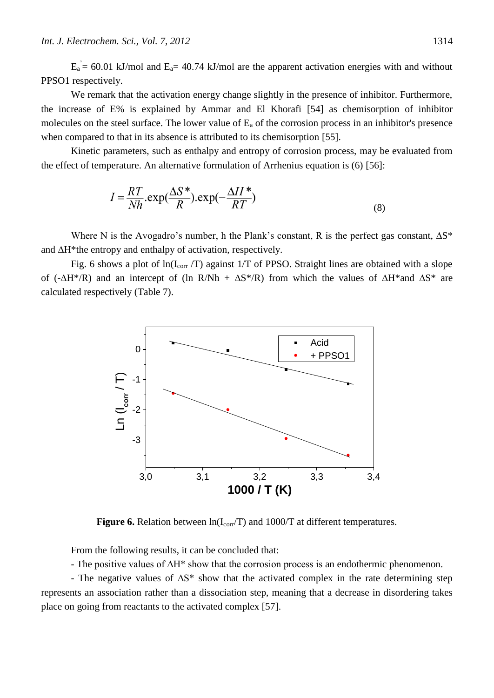$E_a = 60.01$  kJ/mol and  $E_a = 40.74$  kJ/mol are the apparent activation energies with and without PPSO1 respectively.

We remark that the activation energy change slightly in the presence of inhibitor. Furthermore, the increase of E% is explained by Ammar and El Khorafi [54] as chemisorption of inhibitor molecules on the steel surface. The lower value of  $E_a$  of the corrosion process in an inhibitor's presence when compared to that in its absence is attributed to its chemisorption [55].

Kinetic parameters, such as enthalpy and entropy of corrosion process, may be evaluated from the effect of temperature. An alternative formulation of Arrhenius equation is (6) [56]:

$$
I = \frac{RT}{Nh} . \exp(\frac{\Delta S^*}{R}). \exp(-\frac{\Delta H^*}{RT})
$$
\n(8)

Where N is the Avogadro's number, h the Plank's constant, R is the perfect gas constant, **∆**S\* and **∆**H\*the entropy and enthalpy of activation, respectively.

Fig. 6 shows a plot of  $ln(I_{corr}/T)$  against 1/T of PPSO. Straight lines are obtained with a slope of (-**∆**H\*/R) and an intercept of (ln R/Nh + **∆**S\*/R) from which the values of **∆**H\*and **∆**S\* are calculated respectively (Table 7).



**Figure 6.** Relation between  $\ln(I_{\text{corr}}/T)$  and 1000/T at different temperatures.

From the following results, it can be concluded that:

- The positive values of ∆H\* show that the corrosion process is an endothermic phenomenon.

- The negative values of ∆S\* show that the activated complex in the rate determining step represents an association rather than a dissociation step, meaning that a decrease in disordering takes place on going from reactants to the activated complex [57].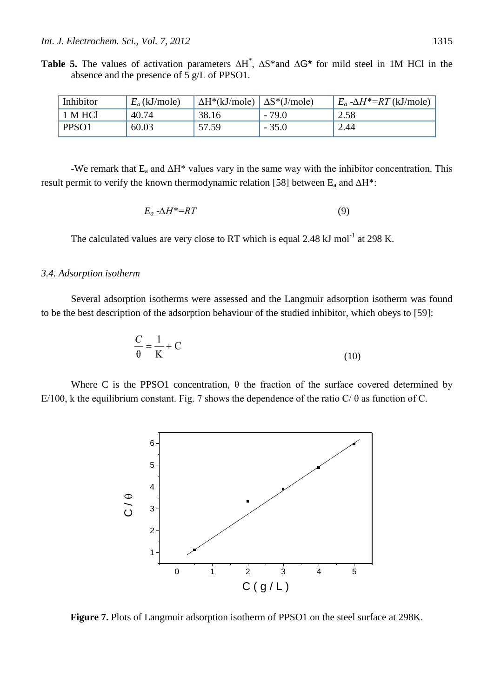**Table 5.** The values of activation parameters **∆**H \* , **∆**S\*and **∆**G**\*** for mild steel in 1M HCl in the absence and the presence of 5 g/L of PPSO1.

| Inhibitor    | $E_a$ (kJ/mole) | $\Delta H^*(kJ/mole)$ $\Delta S^*(J/mole)$ |         | $E_a - \Delta H^* = RT$ (kJ/mole) |
|--------------|-----------------|--------------------------------------------|---------|-----------------------------------|
| 1 M HCl      | 40.74           | 38.16                                      | - 79.0  | 2.58                              |
| <b>PPSO1</b> | 60.03           | 57.59                                      | $-35.0$ | 2.44                              |

-We remark that  $E_a$  and  $\Delta H^*$  values vary in the same way with the inhibitor concentration. This result permit to verify the known thermodynamic relation [58] between  $E_a$  and  $\Delta H^*$ :

$$
E_a \cdot \Delta H^* = RT \tag{9}
$$

The calculated values are very close to RT which is equal 2.48 kJ mol<sup>-1</sup> at 298 K.

## *3.4. Adsorption isotherm*

Several adsorption isotherms were assessed and the Langmuir adsorption isotherm was found to be the best description of the adsorption behaviour of the studied inhibitor, which obeys to [59]:

$$
\frac{C}{\theta} = \frac{1}{K} + C \tag{10}
$$

Where C is the PPSO1 concentration,  $\theta$  the fraction of the surface covered determined by E/100, k the equilibrium constant. Fig. 7 shows the dependence of the ratio C/ $\theta$  as function of C.



**Figure 7.** Plots of Langmuir adsorption isotherm of PPSO1 on the steel surface at 298K.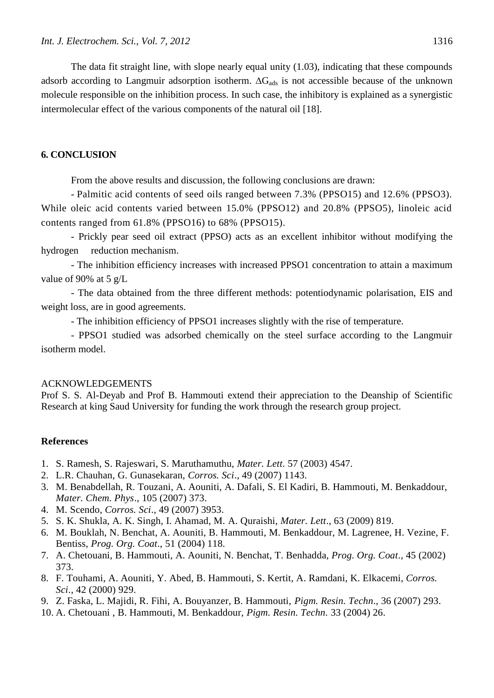The data fit straight line, with slope nearly equal unity (1.03), indicating that these compounds adsorb according to Langmuir adsorption isotherm.  $\Delta G_{ads}$  is not accessible because of the unknown molecule responsible on the inhibition process. In such case, the inhibitory is explained as a synergistic intermolecular effect of the various components of the natural oil [18].

# **6. CONCLUSION**

From the above results and discussion, the following conclusions are drawn:

- Palmitic acid contents of seed oils ranged between 7.3% (PPSO15) and 12.6% (PPSO3). While oleic acid contents varied between 15.0% (PPSO12) and 20.8% (PPSO5), linoleic acid contents ranged from 61.8% (PPSO16) to 68% (PPSO15).

- Prickly pear seed oil extract (PPSO) acts as an excellent inhibitor without modifying the hydrogen reduction mechanism.

- The inhibition efficiency increases with increased PPSO1 concentration to attain a maximum value of 90% at 5 g/L

- The data obtained from the three different methods: potentiodynamic polarisation, EIS and weight loss, are in good agreements.

- The inhibition efficiency of PPSO1 increases slightly with the rise of temperature.

- PPSO1 studied was adsorbed chemically on the steel surface according to the Langmuir isotherm model.

## ACKNOWLEDGEMENTS

Prof S. S. Al-Deyab and Prof B. Hammouti extend their appreciation to the Deanship of Scientific Research at king Saud University for funding the work through the research group project.

# **References**

- 1. S. Ramesh, S. Rajeswari, S. Maruthamuthu, *Mater. Lett*. 57 (2003) 4547.
- 2. L.R. Chauhan, G. Gunasekaran, *Corros. Sci*., 49 (2007) 1143.
- 3. M. Benabdellah, R. Touzani, A. Aouniti, A. Dafali, S. El Kadiri, B. Hammouti, M. Benkaddour, *Mater. Chem. Phys*., 105 (2007) 373.
- 4. M. Scendo, *Corros. Sci*., 49 (2007) 3953.
- 5. S. K. Shukla, A. K. Singh, I. Ahamad, M. A. Quraishi, *Mater. Lett*., 63 (2009) 819.
- 6. M. Bouklah, N. Benchat, A. Aouniti, B. Hammouti, M. Benkaddour, M. Lagrenee, H. Vezine, F. Bentiss, *Prog. Org. Coat*., 51 (2004) 118.
- 7. A. Chetouani, B. Hammouti, A. Aouniti, N. Benchat, T. Benhadda, *Prog. Org. Coat*., 45 (2002) 373.
- 8. F. Touhami, A. Aouniti, Y. Abed, B. Hammouti, S. Kertit, A. Ramdani, K. Elkacemi, *Corros. Sci*., 42 (2000) 929.
- 9. Z. Faska, L. Majidi, R. Fihi, A. Bouyanzer, B. Hammouti, *Pigm. Resin. Techn*., 36 (2007) 293.
- 10. A. Chetouani , B. Hammouti, M. Benkaddour, *Pigm. Resin. Techn.* 33 (2004) 26.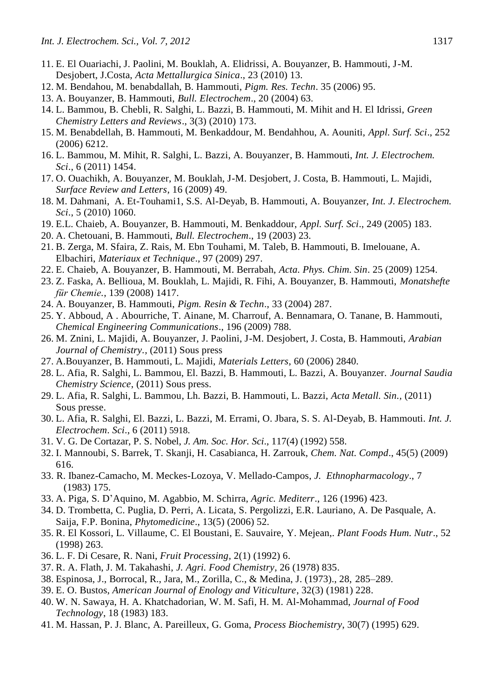- 11. E. El Ouariachi, J. Paolini, M. Bouklah, A. Elidrissi, A. Bouyanzer, B. Hammouti, J-M. Desjobert, J.Costa, *Acta Mettallurgica Sinica*., 23 (2010) 13.
- 12. M. Bendahou, M. benabdallah, B. Hammouti, *Pigm. Res. Techn*. 35 (2006) 95.
- 13. A. Bouyanzer, B. Hammouti, *Bull. Electrochem*., 20 (2004) 63.
- 14. L. Bammou, B. Chebli, R. Salghi, L. Bazzi, B. Hammouti, M. Mihit and H. El Idrissi, *Green Chemistry Letters and Reviews*., 3(3) (2010) 173.
- 15. M. Benabdellah, B. Hammouti, M. Benkaddour, M. Bendahhou, A. Aouniti, *Appl. Surf. Sci*., 252 (2006) 6212.
- 16. L. Bammou, M. Mihit, R. Salghi, L. Bazzi, A. Bouyanzer, B. Hammouti, *Int. J. Electrochem. Sci*., 6 (2011) 1454.
- 17. O. Ouachikh, A. Bouyanzer, M. Bouklah, J-M. Desjobert, J. Costa, B. Hammouti, L. Majidi, *Surface Review and Letters*, 16 (2009) 49.
- 18. M. Dahmani, A. Et-Touhami1, S.S. Al-Deyab, B. Hammouti, A. Bouyanzer, *Int. J. Electrochem. Sci*., 5 (2010) 1060.
- 19. E.L. Chaieb, A. Bouyanzer, B. Hammouti, M. Benkaddour, *Appl. Surf. Sci*., 249 (2005) 183.
- 20. A. Chetouani, B. Hammouti, *Bull. Electrochem*., 19 (2003) 23.
- 21. B. Zerga, M. Sfaira, Z. Rais, M. Ebn Touhami, M. Taleb, B. Hammouti, B. Imelouane, A. Elbachiri, *Materiaux et Technique*., 97 (2009) 297.
- 22. E. Chaieb, A. Bouyanzer, B. Hammouti, M. Berrabah, *Acta. Phys. Chim. Sin*. 25 (2009) 1254.
- 23. Z. Faska, A. Bellioua, M. Bouklah, L. Majidi, R. Fihi, A. Bouyanzer, B. Hammouti, *Monatshefte für Chemie.*, 139 (2008) 1417.
- 24. A. Bouyanzer, B. Hammouti, *Pigm. Resin & Techn*., 33 (2004) 287.
- 25. Y. [Abboud,](http://www.scopus.com/authid/detail.url?origin=resultslist&authorId=6507129260) A . [Abourriche,](http://www.scopus.com/authid/detail.url?origin=resultslist&authorId=6602973665) T. [Ainane,](http://www.scopus.com/authid/detail.url?origin=resultslist&authorId=35191638700) M. [Charrouf,](http://www.scopus.com/authid/detail.url?origin=resultslist&authorId=6505879934) A. [Bennamara,](http://www.scopus.com/authid/detail.url?origin=resultslist&authorId=9333498400) O. [Tanane,](http://www.scopus.com/authid/detail.url?origin=resultslist&authorId=35192282400) B. [Hammouti,](http://www.scopus.com/authid/detail.url?origin=resultslist&authorId=7004604370) *[Chemical Engineering Communications](http://www.scopus.com/source/sourceInfo.url?sourceId=16393&origin=resultslist)*., 196 (2009) 788.
- 26. M. Znini, L. Majidi, A. Bouyanzer, J. Paolini, J-M. Desjobert, J. Costa, B. Hammouti, *Arabian Journal of Chemistry.,* (2011) Sous press
- 27. A.Bouyanzer, B. Hammouti, L. Majidi, *Materials Letters*, 60 (2006) 2840.
- 28. L. Afia, R. Salghi, L. Bammou, El. Bazzi, B. Hammouti, L. Bazzi, A. Bouyanzer. *Journal Saudia Chemistry Science*, (2011) Sous press.
- 29. L. Afia, R. Salghi, L. Bammou, Lh. Bazzi, B. Hammouti, L. Bazzi, *Acta Metall. Sin.,* (2011) Sous presse.
- 30. L. Afia, R. Salghi, El. Bazzi, L. Bazzi, M. Errami, O. Jbara, S. S. Al-Deyab, B. Hammouti. *Int. J. Electrochem*. *Sci*., 6 (2011) 5918.
- 31. V. G. De Cortazar, P. S. Nobel, *J. Am. Soc. Hor. Sci*., 117(4) (1992) 558.
- 32. I. Mannoubi, S. Barrek, T. Skanji, H. Casabianca, H. Zarrouk, *Chem. Nat. Compd*., 45(5) (2009) 616.
- 33. R. Ibanez-Camacho, M. Meckes-Lozoya, V. Mellado-Campos, *J. Ethnopharmacology*., 7 (1983) 175.
- 33. A. Piga, S. D'Aquino, M. Agabbio, M. Schirra, *Agric. Mediterr*., 126 (1996) 423.
- 34. D. Trombetta, C. Puglia, D. Perri, A. Licata, S. Pergolizzi, E.R. Lauriano, A. De Pasquale, A. Saija, F.P. Bonina, *Phytomedicine*., 13(5) (2006) 52.
- 35. R. El Kossori, L. Villaume, C. El Boustani, E. Sauvaire, Y. Mejean,. *Plant Foods Hum. Nutr*., 52 (1998) 263.
- 36. L. F. Di Cesare, R. Nani, *Fruit Processing,* 2(1) (1992) 6.
- 37. R. A. Flath, J. M. Takahashi, *J. Agri. Food Chemistry,* 26 (1978) 835.
- 38. Espinosa, J., Borrocal, R., Jara, M., Zorilla, C., & Medina, J. (1973)., 28, 285–289.
- 39. E. O. Bustos, *American Journal of Enology and Viticulture*, 32(3) (1981) 228.
- 40. W. N. Sawaya, H. A. Khatchadorian, W. M. Safi, H. M. Al-Mohammad, *Journal of Food Technology*, 18 (1983) 183.
- 41. M. Hassan, P. J. Blanc, A. Pareilleux, G. Goma, *Process Biochemistry*, 30(7) (1995) 629.